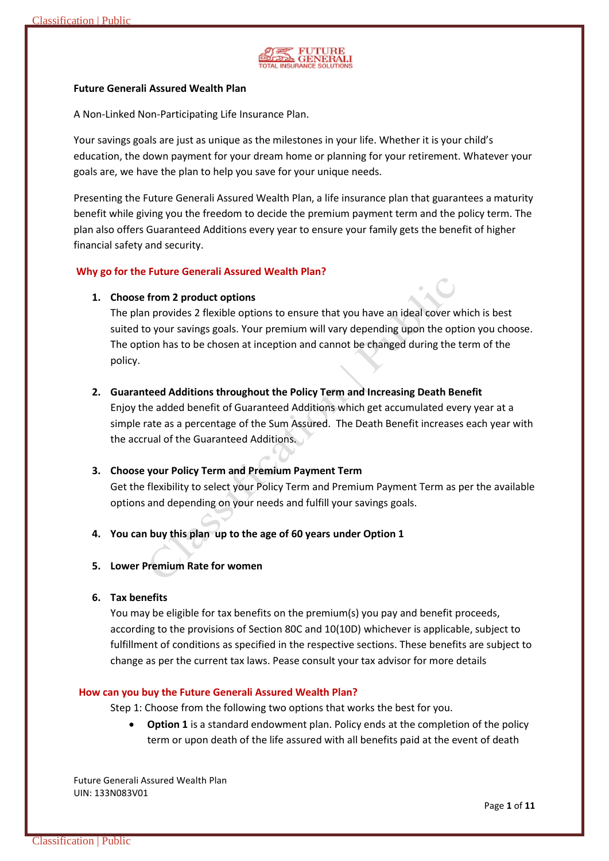

## **Future Generali Assured Wealth Plan**

A Non-Linked Non-Participating Life Insurance Plan.

Your savings goals are just as unique as the milestones in your life. Whether it is your child's education, the down payment for your dream home or planning for your retirement. Whatever your goals are, we have the plan to help you save for your unique needs.

Presenting the Future Generali Assured Wealth Plan, a life insurance plan that guarantees a maturity benefit while giving you the freedom to decide the premium payment term and the policy term. The plan also offers Guaranteed Additions every year to ensure your family gets the benefit of higher financial safety and security.

## **Why go for the Future Generali Assured Wealth Plan?**

## **1. Choose from 2 product options**

The plan provides 2 flexible options to ensure that you have an ideal cover which is best suited to your savings goals. Your premium will vary depending upon the option you choose. The option has to be chosen at inception and cannot be changed during the term of the policy.

## **2. Guaranteed Additions throughout the Policy Term and Increasing Death Benefit**

Enjoy the added benefit of Guaranteed Additions which get accumulated every year at a simple rate as a percentage of the Sum Assured. The Death Benefit increases each year with the accrual of the Guaranteed Additions.

## **3. Choose your Policy Term and Premium Payment Term**

Get the flexibility to select your Policy Term and Premium Payment Term as per the available options and depending on your needs and fulfill your savings goals.

## **4. You can buy this plan up to the age of 60 years under Option 1**

**5. Lower Premium Rate for women**

## **6. Tax benefits**

You may be eligible for tax benefits on the premium(s) you pay and benefit proceeds, according to the provisions of Section 80C and 10(10D) whichever is applicable, subject to fulfillment of conditions as specified in the respective sections. These benefits are subject to change as per the current tax laws. Pease consult your tax advisor for more details

### **How can you buy the Future Generali Assured Wealth Plan?**

Step 1: Choose from the following two options that works the best for you.

 **Option 1** is a standard endowment plan. Policy ends at the completion of the policy term or upon death of the life assured with all benefits paid at the event of death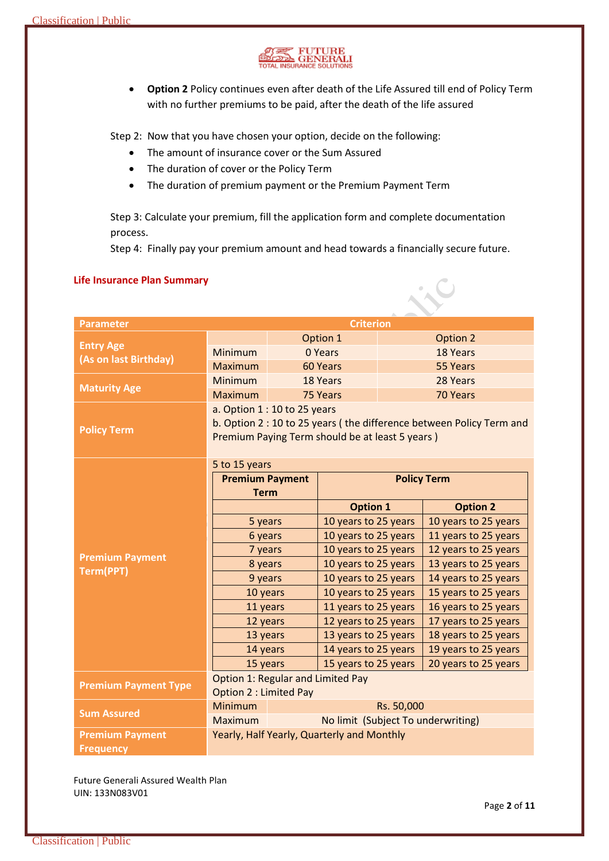

 **Option 2** Policy continues even after death of the Life Assured till end of Policy Term with no further premiums to be paid, after the death of the life assured

Step 2: Now that you have chosen your option, decide on the following:

- The amount of insurance cover or the Sum Assured
- The duration of cover or the Policy Term
- The duration of premium payment or the Premium Payment Term

Step 3: Calculate your premium, fill the application form and complete documentation process.

Step 4: Finally pay your premium amount and head towards a financially secure future.

| <b>Parameter</b>                          |                                                                      | <b>Criterion</b>       |                                            |                    |                      |  |
|-------------------------------------------|----------------------------------------------------------------------|------------------------|--------------------------------------------|--------------------|----------------------|--|
| <b>Entry Age</b><br>(As on last Birthday) |                                                                      |                        | Option 1                                   |                    | Option 2             |  |
|                                           | <b>Minimum</b>                                                       |                        | 0 Years                                    |                    | 18 Years             |  |
|                                           | <b>Maximum</b>                                                       |                        | 60 Years                                   |                    | 55 Years             |  |
| <b>Maturity Age</b>                       | <b>Minimum</b>                                                       |                        | 18 Years                                   |                    | 28 Years             |  |
|                                           | <b>Maximum</b>                                                       |                        | 75 Years                                   |                    | 70 Years             |  |
|                                           | a. Option $1:10$ to 25 years                                         |                        |                                            |                    |                      |  |
| <b>Policy Term</b>                        | b. Option 2 : 10 to 25 years (the difference between Policy Term and |                        |                                            |                    |                      |  |
|                                           | Premium Paying Term should be at least 5 years)                      |                        |                                            |                    |                      |  |
|                                           |                                                                      |                        |                                            |                    |                      |  |
|                                           | 5 to 15 years                                                        |                        |                                            |                    |                      |  |
| <b>Premium Payment</b><br>Term(PPT)       |                                                                      | <b>Premium Payment</b> |                                            | <b>Policy Term</b> |                      |  |
|                                           | <b>Term</b>                                                          |                        |                                            |                    |                      |  |
|                                           |                                                                      |                        | <b>Option 1</b>                            |                    | <b>Option 2</b>      |  |
|                                           | 5 years                                                              |                        | 10 years to 25 years                       |                    | 10 years to 25 years |  |
|                                           | 6 years                                                              |                        | 10 years to 25 years                       |                    | 11 years to 25 years |  |
|                                           | 7 years                                                              |                        | 10 years to 25 years                       |                    | 12 years to 25 years |  |
|                                           | 8 years                                                              |                        | 10 years to 25 years                       |                    | 13 years to 25 years |  |
|                                           | 9 years                                                              |                        | 10 years to 25 years                       |                    | 14 years to 25 years |  |
|                                           | 10 years                                                             |                        | 10 years to 25 years                       |                    | 15 years to 25 years |  |
|                                           | 11 years                                                             |                        | 11 years to 25 years                       |                    | 16 years to 25 years |  |
|                                           | 12 years                                                             |                        | 12 years to 25 years                       |                    | 17 years to 25 years |  |
|                                           | 13 years                                                             |                        | 13 years to 25 years                       |                    | 18 years to 25 years |  |
|                                           | 14 years                                                             |                        | 14 years to 25 years                       |                    | 19 years to 25 years |  |
|                                           | 15 years                                                             |                        | 15 years to 25 years                       |                    | 20 years to 25 years |  |
| <b>Premium Payment Type</b>               | <b>Option 1: Regular and Limited Pay</b>                             |                        |                                            |                    |                      |  |
|                                           | <b>Option 2: Limited Pay</b>                                         |                        |                                            |                    |                      |  |
| <b>Sum Assured</b>                        | Minimum                                                              |                        |                                            | Rs. 50,000         |                      |  |
|                                           | No limit (Subject To underwriting)<br><b>Maximum</b>                 |                        |                                            |                    |                      |  |
| <b>Premium Payment</b>                    |                                                                      |                        | Yearly, Half Yearly, Quarterly and Monthly |                    |                      |  |
| <b>Frequency</b>                          |                                                                      |                        |                                            |                    |                      |  |

## **Life Insurance Plan Summary**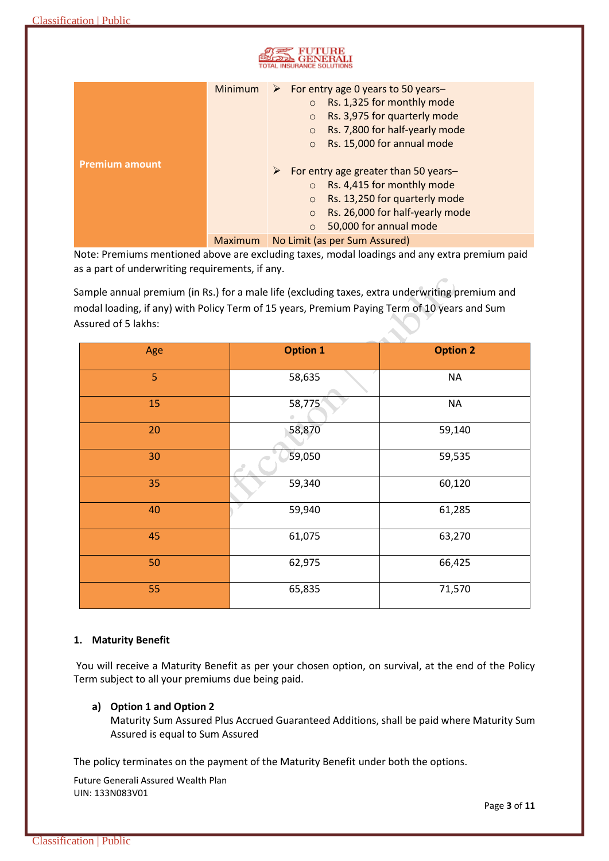|                       | Minimum        | For entry age 0 years to 50 years-<br>➤<br>Rs. 1,325 for monthly mode<br>$\circ$<br>Rs. 3,975 for quarterly mode<br>$\circ$<br>Rs. 7,800 for half-yearly mode<br>$\circ$<br>Rs. 15,000 for annual mode<br>$\circ$                      |  |  |  |
|-----------------------|----------------|----------------------------------------------------------------------------------------------------------------------------------------------------------------------------------------------------------------------------------------|--|--|--|
| <b>Premium amount</b> |                | For entry age greater than 50 years-<br>$\blacktriangleright$<br>Rs. 4,415 for monthly mode<br>$\circ$<br>Rs. 13,250 for quarterly mode<br>$\circ$<br>Rs. 26,000 for half-yearly mode<br>$\circ$<br>50,000 for annual mode<br>$\Omega$ |  |  |  |
|                       | <b>Maximum</b> | No Limit (as per Sum Assured)                                                                                                                                                                                                          |  |  |  |

Note: Premiums mentioned above are excluding taxes, modal loadings and any extra premium paid as a part of underwriting requirements, if any.

Sample annual premium (in Rs.) for a male life (excluding taxes, extra underwriting premium and modal loading, if any) with Policy Term of 15 years, Premium Paying Term of 10 years and Sum Assured of 5 lakhs:

| Age | <b>Option 1</b> | <b>Option 2</b> |
|-----|-----------------|-----------------|
| 5   | 58,635          | <b>NA</b>       |
| 15  | 58,775<br>۰     | <b>NA</b>       |
| 20  | 58,870          | 59,140          |
| 30  | 59,050          | 59,535          |
| 35  | 59,340          | 60,120          |
| 40  | 59,940          | 61,285          |
| 45  | 61,075          | 63,270          |
| 50  | 62,975          | 66,425          |
| 55  | 65,835          | 71,570          |

# **1. Maturity Benefit**

You will receive a Maturity Benefit as per your chosen option, on survival, at the end of the Policy Term subject to all your premiums due being paid.

## **a) Option 1 and Option 2**

Maturity Sum Assured Plus Accrued Guaranteed Additions, shall be paid where Maturity Sum Assured is equal to Sum Assured

The policy terminates on the payment of the Maturity Benefit under both the options.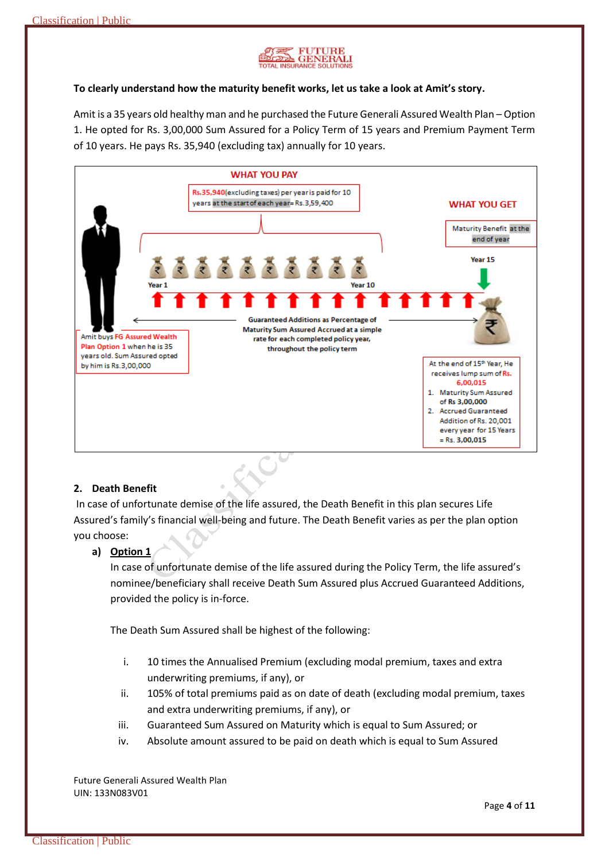

## **To clearly understand how the maturity benefit works, let us take a look at Amit's story.**

Amit is a 35 years old healthy man and he purchased the Future Generali Assured Wealth Plan – Option 1. He opted for Rs. 3,00,000 Sum Assured for a Policy Term of 15 years and Premium Payment Term of 10 years. He pays Rs. 35,940 (excluding tax) annually for 10 years.



## **2. Death Benefit**

In case of unfortunate demise of the life assured, the Death Benefit in this plan secures Life Assured's family's financial well-being and future. The Death Benefit varies as per the plan option you choose:

### **a) Option 1**

In case of unfortunate demise of the life assured during the Policy Term, the life assured's nominee/beneficiary shall receive Death Sum Assured plus Accrued Guaranteed Additions, provided the policy is in-force.

The Death Sum Assured shall be highest of the following:

- i. 10 times the Annualised Premium (excluding modal premium, taxes and extra underwriting premiums, if any), or
- ii. 105% of total premiums paid as on date of death (excluding modal premium, taxes and extra underwriting premiums, if any), or
- iii. Guaranteed Sum Assured on Maturity which is equal to Sum Assured; or
- iv. Absolute amount assured to be paid on death which is equal to Sum Assured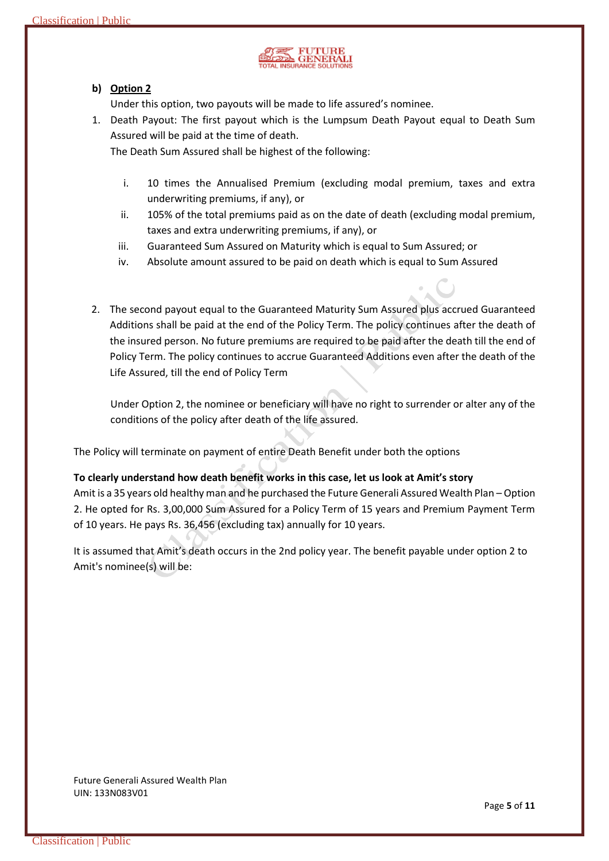

# **b) Option 2**

Under this option, two payouts will be made to life assured's nominee.

1. Death Payout: The first payout which is the Lumpsum Death Payout equal to Death Sum Assured will be paid at the time of death.

The Death Sum Assured shall be highest of the following:

- i. 10 times the Annualised Premium (excluding modal premium, taxes and extra underwriting premiums, if any), or
- ii. 105% of the total premiums paid as on the date of death (excluding modal premium, taxes and extra underwriting premiums, if any), or
- iii. Guaranteed Sum Assured on Maturity which is equal to Sum Assured; or
- iv. Absolute amount assured to be paid on death which is equal to Sum Assured
- 2. The second payout equal to the Guaranteed Maturity Sum Assured plus accrued Guaranteed Additions shall be paid at the end of the Policy Term. The policy continues after the death of the insured person. No future premiums are required to be paid after the death till the end of Policy Term. The policy continues to accrue Guaranteed Additions even after the death of the Life Assured, till the end of Policy Term

Under Option 2, the nominee or beneficiary will have no right to surrender or alter any of the conditions of the policy after death of the life assured.

The Policy will terminate on payment of entire Death Benefit under both the options

## **To clearly understand how death benefit works in this case, let us look at Amit's story**

Amit is a 35 years old healthy man and he purchased the Future Generali Assured Wealth Plan – Option 2. He opted for Rs. 3,00,000 Sum Assured for a Policy Term of 15 years and Premium Payment Term of 10 years. He pays Rs. 36,456 (excluding tax) annually for 10 years.

It is assumed that Amit's death occurs in the 2nd policy year. The benefit payable under option 2 to Amit's nominee(s) will be: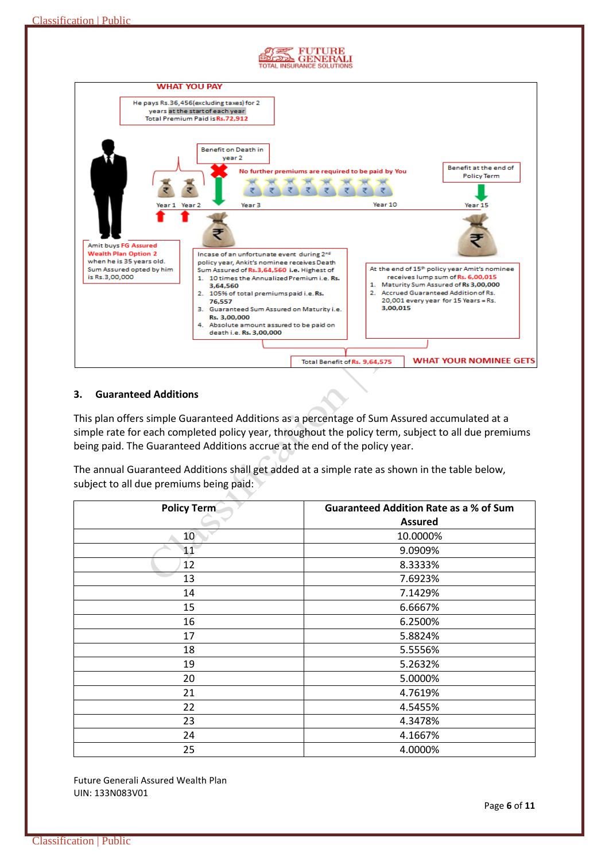

## **3. Guaranteed Additions**

This plan offers simple Guaranteed Additions as a percentage of Sum Assured accumulated at a simple rate for each completed policy year, throughout the policy term, subject to all due premiums being paid. The Guaranteed Additions accrue at the end of the policy year.

The annual Guaranteed Additions shall get added at a simple rate as shown in the table below, subject to all due premiums being paid:

| <b>Policy Term</b> | <b>Guaranteed Addition Rate as a % of Sum</b> |
|--------------------|-----------------------------------------------|
|                    | <b>Assured</b>                                |
| 10                 | 10.0000%                                      |
| 11                 | 9.0909%                                       |
| 12                 | 8.3333%                                       |
| 13                 | 7.6923%                                       |
| 14                 | 7.1429%                                       |
| 15                 | 6.6667%                                       |
| 16                 | 6.2500%                                       |
| 17                 | 5.8824%                                       |
| 18                 | 5.5556%                                       |
| 19                 | 5.2632%                                       |
| 20                 | 5.0000%                                       |
| 21                 | 4.7619%                                       |
| 22                 | 4.5455%                                       |
| 23                 | 4.3478%                                       |
| 24                 | 4.1667%                                       |
| 25                 | 4.0000%                                       |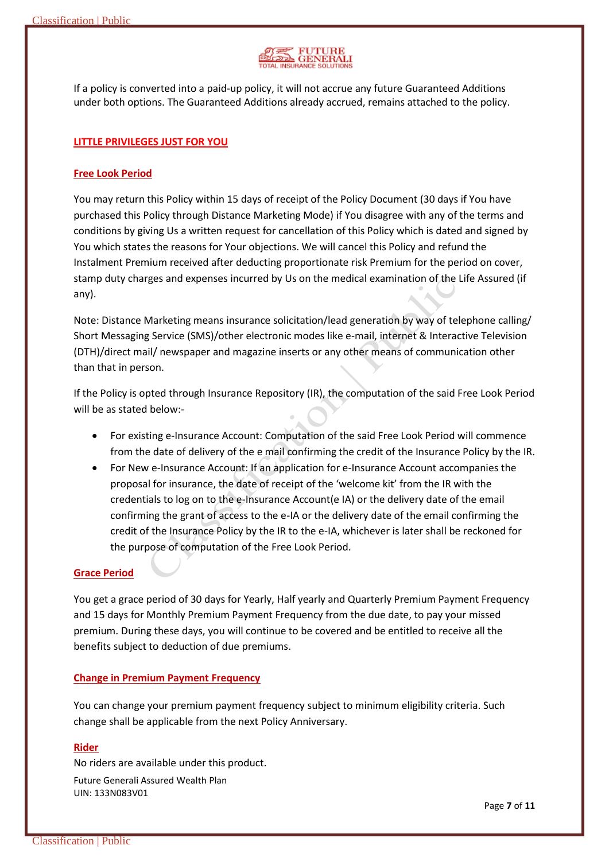

If a policy is converted into a paid-up policy, it will not accrue any future Guaranteed Additions under both options. The Guaranteed Additions already accrued, remains attached to the policy.

## **LITTLE PRIVILEGES JUST FOR YOU**

## **Free Look Period**

You may return this Policy within 15 days of receipt of the Policy Document (30 days if You have purchased this Policy through Distance Marketing Mode) if You disagree with any of the terms and conditions by giving Us a written request for cancellation of this Policy which is dated and signed by You which states the reasons for Your objections. We will cancel this Policy and refund the Instalment Premium received after deducting proportionate risk Premium for the period on cover, stamp duty charges and expenses incurred by Us on the medical examination of the Life Assured (if any).

Note: Distance Marketing means insurance solicitation/lead generation by way of telephone calling/ Short Messaging Service (SMS)/other electronic modes like e-mail, internet & Interactive Television (DTH)/direct mail/ newspaper and magazine inserts or any other means of communication other than that in person.

If the Policy is opted through Insurance Repository (IR), the computation of the said Free Look Period will be as stated below:-

- For existing e-Insurance Account: Computation of the said Free Look Period will commence from the date of delivery of the e mail confirming the credit of the Insurance Policy by the IR.
- For New e-Insurance Account: If an application for e-Insurance Account accompanies the proposal for insurance, the date of receipt of the 'welcome kit' from the IR with the credentials to log on to the e-Insurance Account(e IA) or the delivery date of the email confirming the grant of access to the e-IA or the delivery date of the email confirming the credit of the Insurance Policy by the IR to the e-IA, whichever is later shall be reckoned for the purpose of computation of the Free Look Period.

### **Grace Period**

You get a grace period of 30 days for Yearly, Half yearly and Quarterly Premium Payment Frequency and 15 days for Monthly Premium Payment Frequency from the due date, to pay your missed premium. During these days, you will continue to be covered and be entitled to receive all the benefits subject to deduction of due premiums.

## **Change in Premium Payment Frequency**

You can change your premium payment frequency subject to minimum eligibility criteria. Such change shall be applicable from the next Policy Anniversary.

#### **Rider**

No riders are available under this product.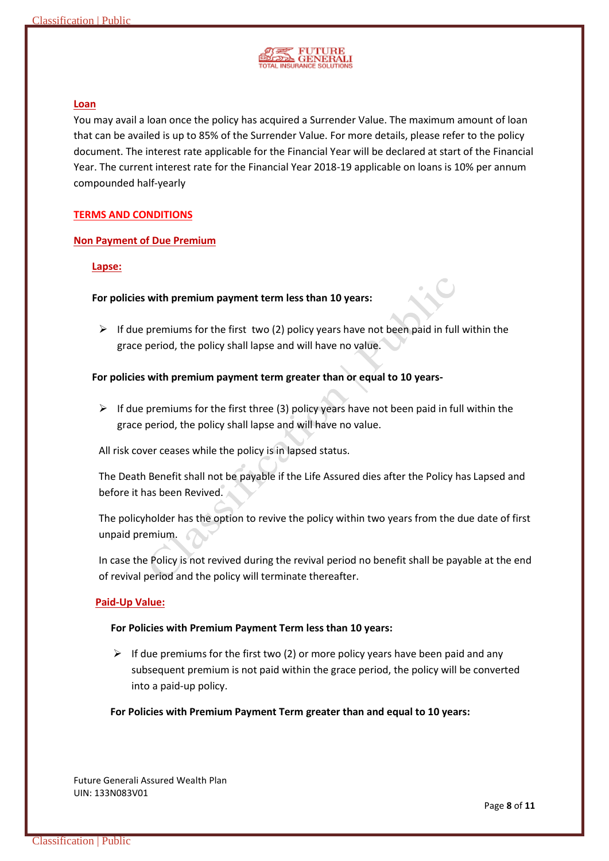

### **Loan**

You may avail a loan once the policy has acquired a Surrender Value. The maximum amount of loan that can be availed is up to 85% of the Surrender Value. For more details, please refer to the policy document. The interest rate applicable for the Financial Year will be declared at start of the Financial Year. The current interest rate for the Financial Year 2018-19 applicable on loans is 10% per annum compounded half-yearly

#### **TERMS AND CONDITIONS**

#### **Non Payment of Due Premium**

## **Lapse:**

## **For policies with premium payment term less than 10 years:**

 $\triangleright$  If due premiums for the first two (2) policy years have not been paid in full within the grace period, the policy shall lapse and will have no value.

### **For policies with premium payment term greater than or equal to 10 years-**

 $\triangleright$  If due premiums for the first three (3) policy years have not been paid in full within the grace period, the policy shall lapse and will have no value.

All risk cover ceases while the policy is in lapsed status.

The Death Benefit shall not be payable if the Life Assured dies after the Policy has Lapsed and before it has been Revived.

The policyholder has the option to revive the policy within two years from the due date of first unpaid premium.

In case the Policy is not revived during the revival period no benefit shall be payable at the end of revival period and the policy will terminate thereafter.

#### **Paid-Up Value:**

#### **For Policies with Premium Payment Term less than 10 years:**

 $\triangleright$  If due premiums for the first two (2) or more policy years have been paid and any subsequent premium is not paid within the grace period, the policy will be converted into a paid-up policy.

**For Policies with Premium Payment Term greater than and equal to 10 years:**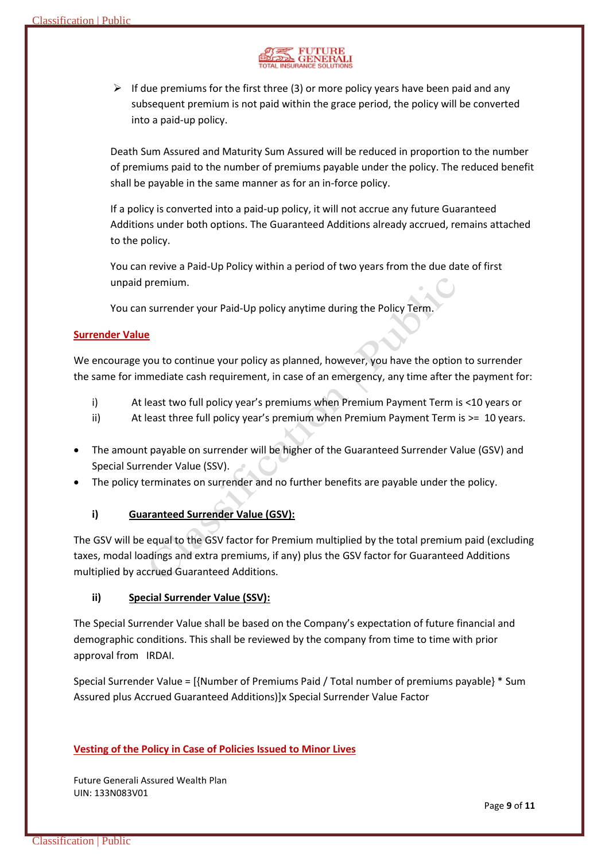

 $\triangleright$  If due premiums for the first three (3) or more policy years have been paid and any subsequent premium is not paid within the grace period, the policy will be converted into a paid-up policy.

Death Sum Assured and Maturity Sum Assured will be reduced in proportion to the number of premiums paid to the number of premiums payable under the policy. The reduced benefit shall be payable in the same manner as for an in-force policy.

If a policy is converted into a paid-up policy, it will not accrue any future Guaranteed Additions under both options. The Guaranteed Additions already accrued, remains attached to the policy.

You can revive a Paid-Up Policy within a period of two years from the due date of first unpaid premium.

You can surrender your Paid-Up policy anytime during the Policy Term.

## **Surrender Value**

We encourage you to continue your policy as planned, however, you have the option to surrender the same for immediate cash requirement, in case of an emergency, any time after the payment for:

- i) At least two full policy year's premiums when Premium Payment Term is <10 years or
- ii) At least three full policy year's premium when Premium Payment Term is >= 10 years.
- The amount payable on surrender will be higher of the Guaranteed Surrender Value (GSV) and Special Surrender Value (SSV).
- The policy terminates on surrender and no further benefits are payable under the policy.
	- **i) Guaranteed Surrender Value (GSV):**

The GSV will be equal to the GSV factor for Premium multiplied by the total premium paid (excluding taxes, modal loadings and extra premiums, if any) plus the GSV factor for Guaranteed Additions multiplied by accrued Guaranteed Additions.

## **ii) Special Surrender Value (SSV):**

The Special Surrender Value shall be based on the Company's expectation of future financial and demographic conditions. This shall be reviewed by the company from time to time with prior approval from IRDAI.

Special Surrender Value = [{Number of Premiums Paid / Total number of premiums payable} \* Sum Assured plus Accrued Guaranteed Additions)]x Special Surrender Value Factor

## **Vesting of the Policy in Case of Policies Issued to Minor Lives**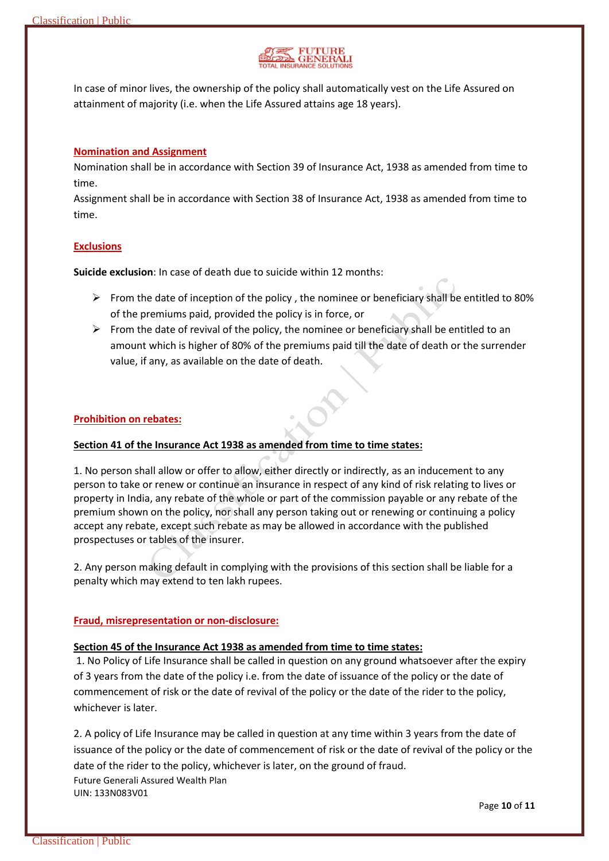

In case of minor lives, the ownership of the policy shall automatically vest on the Life Assured on attainment of majority (i.e. when the Life Assured attains age 18 years).

## **Nomination and Assignment**

Nomination shall be in accordance with Section 39 of Insurance Act, 1938 as amended from time to time.

Assignment shall be in accordance with Section 38 of Insurance Act, 1938 as amended from time to time.

## **Exclusions**

**Suicide exclusion**: In case of death due to suicide within 12 months:

- $\triangleright$  From the date of inception of the policy, the nominee or beneficiary shall be entitled to 80% of the premiums paid, provided the policy is in force, or
- $\triangleright$  From the date of revival of the policy, the nominee or beneficiary shall be entitled to an amount which is higher of 80% of the premiums paid till the date of death or the surrender value, if any, as available on the date of death.

## **Prohibition on rebates:**

### **Section 41 of the Insurance Act 1938 as amended from time to time states:**

1. No person shall allow or offer to allow, either directly or indirectly, as an inducement to any person to take or renew or continue an insurance in respect of any kind of risk relating to lives or property in India, any rebate of the whole or part of the commission payable or any rebate of the premium shown on the policy, nor shall any person taking out or renewing or continuing a policy accept any rebate, except such rebate as may be allowed in accordance with the published prospectuses or tables of the insurer.

2. Any person making default in complying with the provisions of this section shall be liable for a penalty which may extend to ten lakh rupees.

### **Fraud, misrepresentation or non-disclosure:**

### **Section 45 of the Insurance Act 1938 as amended from time to time states:**

1. No Policy of Life Insurance shall be called in question on any ground whatsoever after the expiry of 3 years from the date of the policy i.e. from the date of issuance of the policy or the date of commencement of risk or the date of revival of the policy or the date of the rider to the policy, whichever is later.

Future Generali Assured Wealth Plan 2. A policy of Life Insurance may be called in question at any time within 3 years from the date of issuance of the policy or the date of commencement of risk or the date of revival of the policy or the date of the rider to the policy, whichever is later, on the ground of fraud.

UIN: 133N083V01